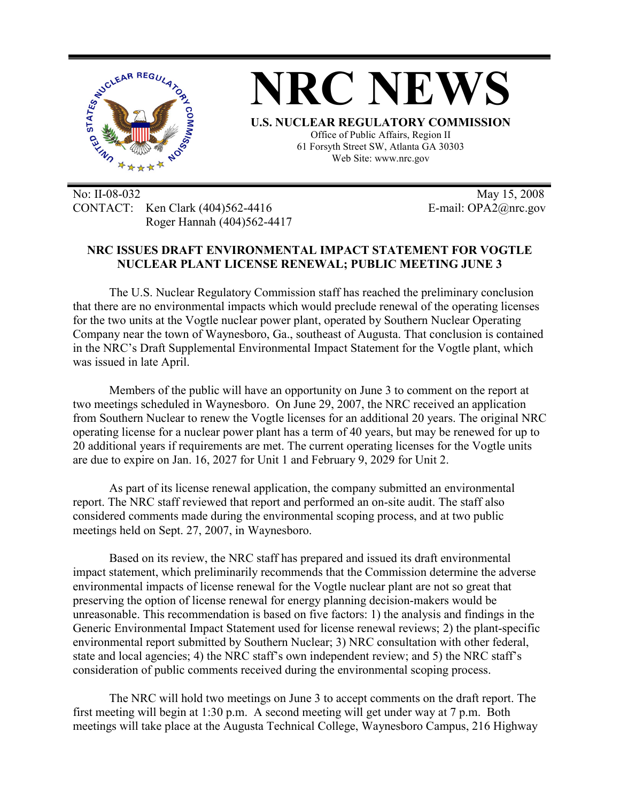

No: II-08-032 May 15, 2008 CONTACT: Ken Clark (404)562-4416 E-mail: OPA2@nrc.gov Roger Hannah (404)562-4417

## **NRC ISSUES DRAFT ENVIRONMENTAL IMPACT STATEMENT FOR VOGTLE NUCLEAR PLANT LICENSE RENEWAL; PUBLIC MEETING JUNE 3**

The U.S. Nuclear Regulatory Commission staff has reached the preliminary conclusion that there are no environmental impacts which would preclude renewal of the operating licenses for the two units at the Vogtle nuclear power plant, operated by Southern Nuclear Operating Company near the town of Waynesboro, Ga., southeast of Augusta. That conclusion is contained in the NRC's Draft Supplemental Environmental Impact Statement for the Vogtle plant, which was issued in late April.

Members of the public will have an opportunity on June 3 to comment on the report at two meetings scheduled in Waynesboro. On June 29, 2007, the NRC received an application from Southern Nuclear to renew the Vogtle licenses for an additional 20 years. The original NRC operating license for a nuclear power plant has a term of 40 years, but may be renewed for up to 20 additional years if requirements are met. The current operating licenses for the Vogtle units are due to expire on Jan. 16, 2027 for Unit 1 and February 9, 2029 for Unit 2.

As part of its license renewal application, the company submitted an environmental report. The NRC staff reviewed that report and performed an on-site audit. The staff also considered comments made during the environmental scoping process, and at two public meetings held on Sept. 27, 2007, in Waynesboro.

Based on its review, the NRC staff has prepared and issued its draft environmental impact statement, which preliminarily recommends that the Commission determine the adverse environmental impacts of license renewal for the Vogtle nuclear plant are not so great that preserving the option of license renewal for energy planning decision-makers would be unreasonable. This recommendation is based on five factors: 1) the analysis and findings in the Generic Environmental Impact Statement used for license renewal reviews; 2) the plant-specific environmental report submitted by Southern Nuclear; 3) NRC consultation with other federal, state and local agencies; 4) the NRC staff's own independent review; and 5) the NRC staff's consideration of public comments received during the environmental scoping process.

The NRC will hold two meetings on June 3 to accept comments on the draft report. The first meeting will begin at 1:30 p.m. A second meeting will get under way at 7 p.m. Both meetings will take place at the Augusta Technical College, Waynesboro Campus, 216 Highway